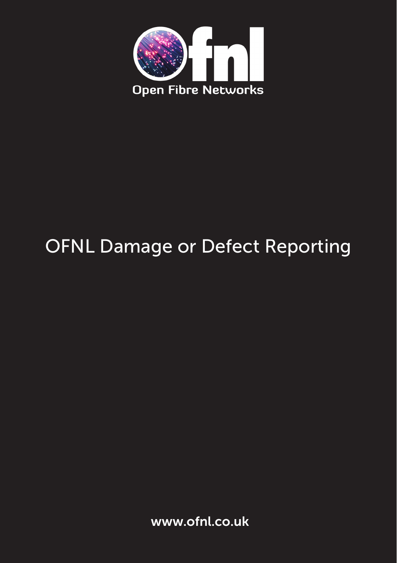

# OFNL Damage or Defect Reporting

www.ofnl.co.uk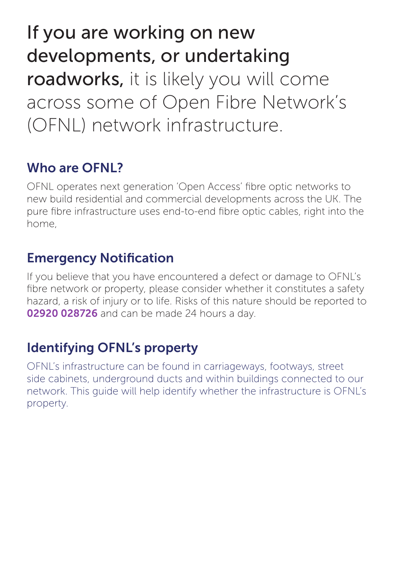If you are working on new developments, or undertaking roadworks, it is likely you will come across some of Open Fibre Network's (OFNL) network infrastructure.

# Who are OFNL?

OFNL operates next generation 'Open Access' fibre optic networks to new build residential and commercial developments across the UK. The pure fibre infrastructure uses end-to-end fibre optic cables, right into the home,

### Emergency Notification

If you believe that you have encountered a defect or damage to OFNL's fibre network or property, please consider whether it constitutes a safety hazard, a risk of injury or to life. Risks of this nature should be reported to 02920 028726 and can be made 24 hours a day.

## Identifying OFNL's property

OFNL's infrastructure can be found in carriageways, footways, street side cabinets, underground ducts and within buildings connected to our network. This guide will help identify whether the infrastructure is OFNL's property.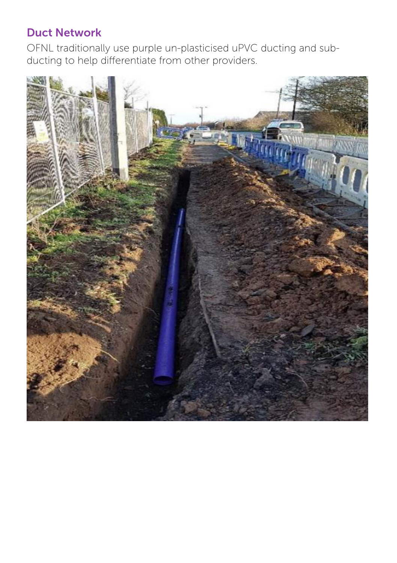#### Duct Network

OFNL traditionally use purple un-plasticised uPVC ducting and subducting to help differentiate from other providers.

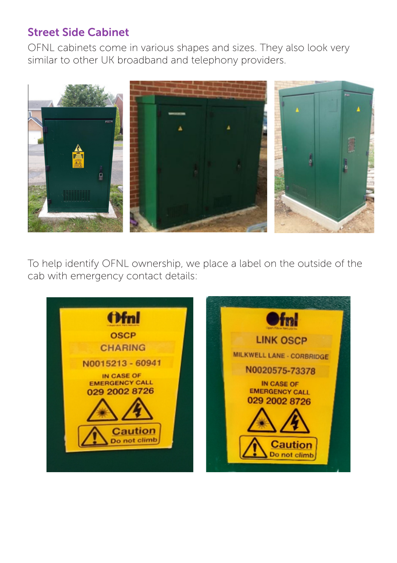#### Street Side Cabinet

OFNL cabinets come in various shapes and sizes. They also look very similar to other UK broadband and telephony providers.



To help identify OFNL ownership, we place a label on the outside of the cab with emergency contact details:

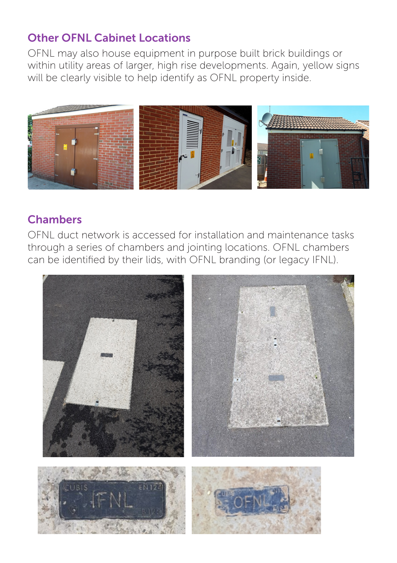#### Other OFNL Cabinet Locations

OFNL may also house equipment in purpose built brick buildings or within utility areas of larger, high rise developments. Again, yellow signs will be clearly visible to help identify as OFNL property inside.



#### Chambers

OFNL duct network is accessed for installation and maintenance tasks through a series of chambers and jointing locations. OFNL chambers can be identified by their lids, with OFNL branding (or legacy IFNL).